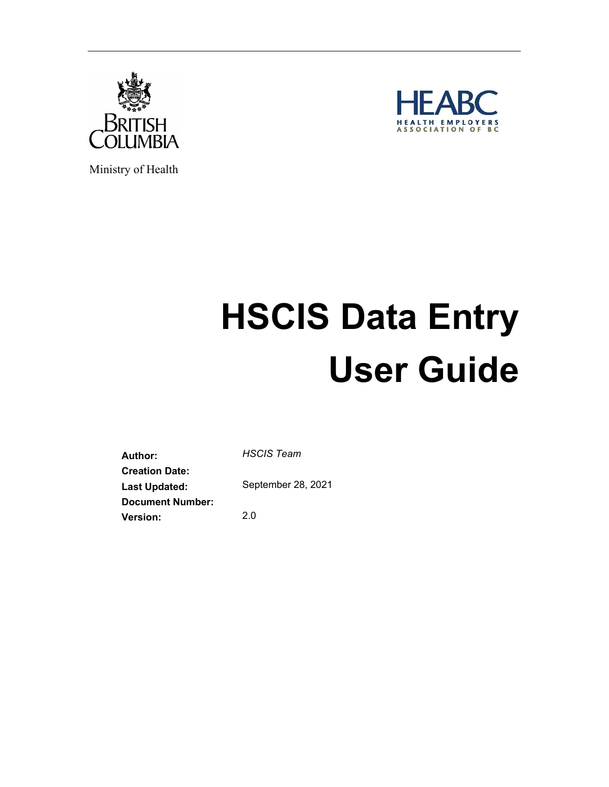



Ministry of Health

# **HSCIS Data Entry User Guide**

**Author:** *HSCIS Team* **Creation Date: Last Updated:** September 28, 2021 **Document Number: Version:** 2.0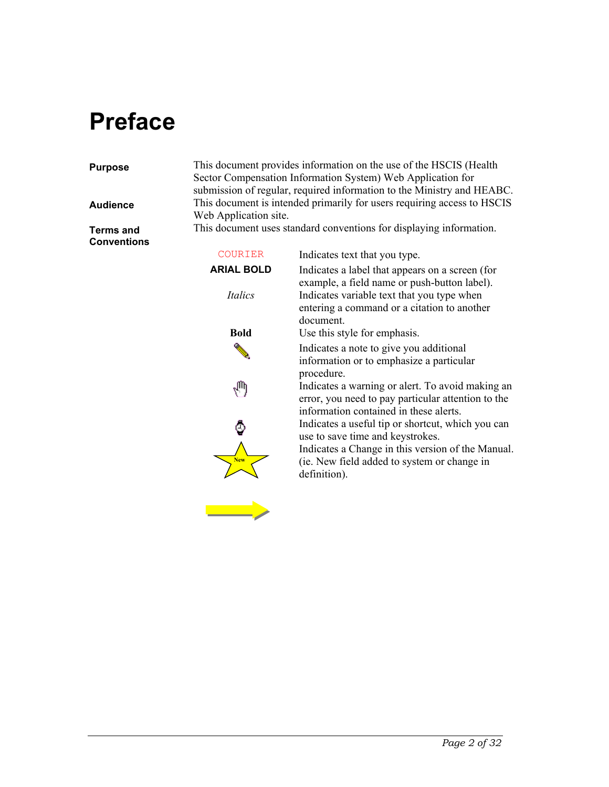## **Preface**

#### **Purpose** This document provides information on the use of the HSCIS (Health

Sector Compensation Information System) Web Application for submission of regular, required information to the Ministry and HEABC. **Audience** This document is intended primarily for users requiring access to HSCIS Web Application site.

**Terms and Conventions** This document uses standard conventions for displaying information.

| <b>COURIER</b>    | Indicates text that you type.                                                                                                                    |
|-------------------|--------------------------------------------------------------------------------------------------------------------------------------------------|
| <b>ARIAL BOLD</b> | Indicates a label that appears on a screen (for<br>example, a field name or push-button label).                                                  |
| <i>Italics</i>    | Indicates variable text that you type when<br>entering a command or a citation to another<br>document.                                           |
| <b>Bold</b>       | Use this style for emphasis.                                                                                                                     |
|                   | Indicates a note to give you additional<br>information or to emphasize a particular<br>procedure.                                                |
|                   | Indicates a warning or alert. To avoid making an<br>error, you need to pay particular attention to the<br>information contained in these alerts. |
|                   | Indicates a useful tip or shortcut, which you can<br>use to save time and keystrokes.                                                            |
| <b>New</b>        | Indicates a Change in this version of the Manual.<br>(ie. New field added to system or change in<br>definition).                                 |
|                   |                                                                                                                                                  |

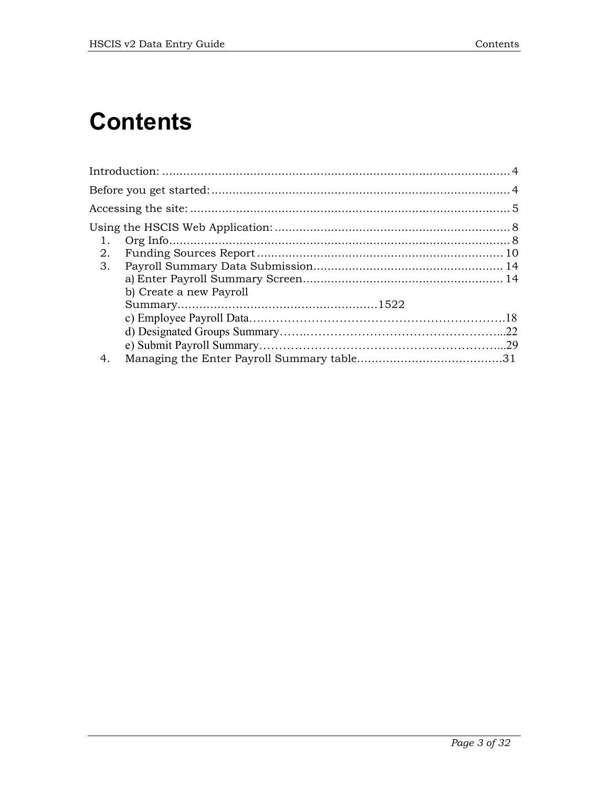## **Contents**

| 1. |                         |  |
|----|-------------------------|--|
| 2. |                         |  |
| 3. |                         |  |
|    |                         |  |
|    | b) Create a new Payroll |  |
|    |                         |  |
|    |                         |  |
|    |                         |  |
|    |                         |  |
| 4. |                         |  |
|    |                         |  |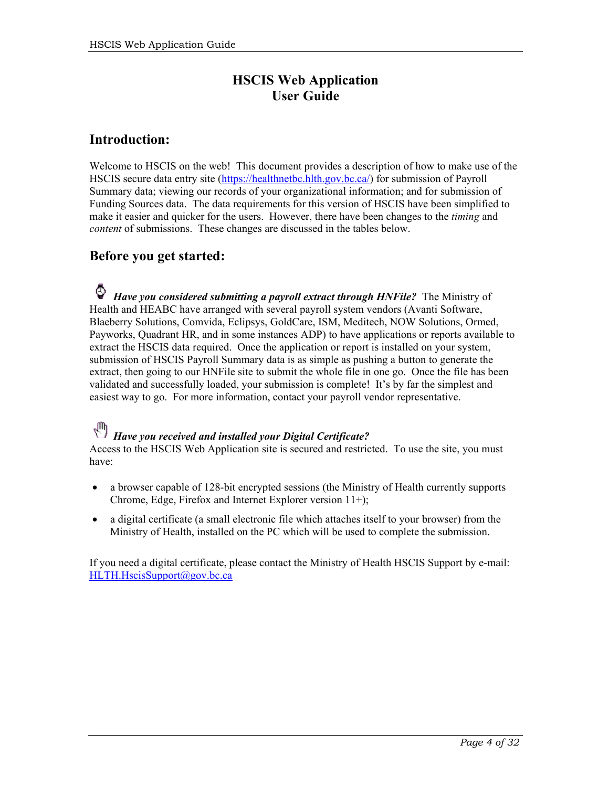### **HSCIS Web Application User Guide**

#### <span id="page-3-0"></span>**Introduction:**

Welcome to HSCIS on the web! This document provides a description of how to make use of the HSCIS secure data entry site [\(https://healthnetbc.hlth.gov.bc.ca/\)](https://healthnetbc.hlth.gov.bc.ca/) for submission of Payroll Summary data; viewing our records of your organizational information; and for submission of Funding Sources data. The data requirements for this version of HSCIS have been simplified to make it easier and quicker for the users. However, there have been changes to the *timing* and *content* of submissions. These changes are discussed in the tables below.

#### <span id="page-3-1"></span>**Before you get started:**

*Have you considered submitting a payroll extract through HNFile?* The Ministry of Health and HEABC have arranged with several payroll system vendors (Avanti Software, Blaeberry Solutions, Comvida, Eclipsys, GoldCare, ISM, Meditech, NOW Solutions, Ormed, Payworks, Quadrant HR, and in some instances ADP) to have applications or reports available to extract the HSCIS data required. Once the application or report is installed on your system, submission of HSCIS Payroll Summary data is as simple as pushing a button to generate the extract, then going to our HNFile site to submit the whole file in one go. Once the file has been validated and successfully loaded, your submission is complete! It's by far the simplest and easiest way to go. For more information, contact your payroll vendor representative.

### *Have you received and installed your Digital Certificate?*

Access to the HSCIS Web Application site is secured and restricted. To use the site, you must have:

- a browser capable of 128-bit encrypted sessions (the Ministry of Health currently supports Chrome, Edge, Firefox and Internet Explorer version 11+);
- a digital certificate (a small electronic file which attaches itself to your browser) from the Ministry of Health, installed on the PC which will be used to complete the submission.

If you need a digital certificate, please contact the Ministry of Health HSCIS Support by e-mail: [HLTH.HscisSupport@gov.bc.ca](mailto:HLTH.HscisSupport@gov.bc.ca)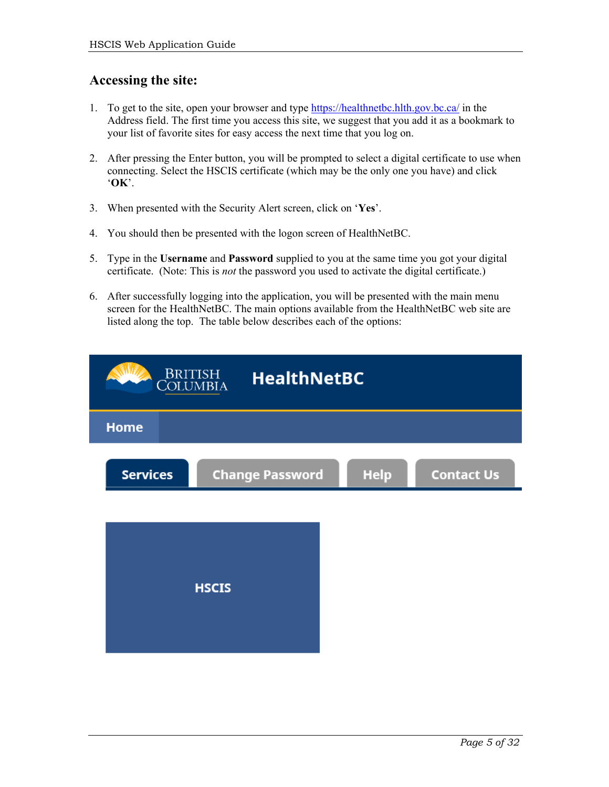#### <span id="page-4-0"></span>**Accessing the site:**

- 1. To get to the site, open your browser and type<https://healthnetbc.hlth.gov.bc.ca/> in the Address field. The first time you access this site, we suggest that you add it as a bookmark to your list of favorite sites for easy access the next time that you log on.
- 2. After pressing the Enter button, you will be prompted to select a digital certificate to use when connecting. Select the HSCIS certificate (which may be the only one you have) and click '**OK**'.
- 3. When presented with the Security Alert screen, click on '**Yes**'.
- 4. You should then be presented with the logon screen of HealthNetBC.
- 5. Type in the **Username** and **Password** supplied to you at the same time you got your digital certificate. (Note: This is *not* the password you used to activate the digital certificate.)
- 6. After successfully logging into the application, you will be presented with the main menu screen for the HealthNetBC. The main options available from the HealthNetBC web site are listed along the top. The table below describes each of the options:

| <b>BRITISH</b><br><b>HealthNetBC</b><br>Columbia |                        |             |                   |
|--------------------------------------------------|------------------------|-------------|-------------------|
| <b>Home</b>                                      |                        |             |                   |
| <b>Services</b>                                  | <b>Change Password</b> | <b>Help</b> | <b>Contact Us</b> |
|                                                  |                        |             |                   |
|                                                  |                        |             |                   |
|                                                  | <b>HSCIS</b>           |             |                   |
|                                                  |                        |             |                   |
|                                                  |                        |             |                   |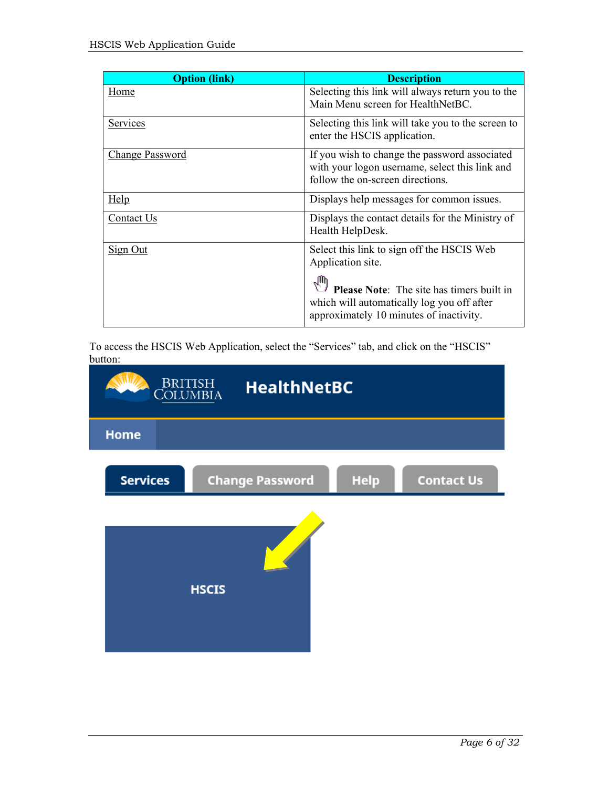| <b>Option (link)</b> | <b>Description</b>                                                                                                                        |
|----------------------|-------------------------------------------------------------------------------------------------------------------------------------------|
| Home                 | Selecting this link will always return you to the<br>Main Menu screen for HealthNetBC.                                                    |
| Services             | Selecting this link will take you to the screen to<br>enter the HSCIS application.                                                        |
| Change Password      | If you wish to change the password associated<br>with your logon username, select this link and<br>follow the on-screen directions.       |
| Help                 | Displays help messages for common issues.                                                                                                 |
| Contact Us           | Displays the contact details for the Ministry of<br>Health HelpDesk.                                                                      |
| Sign Out             | Select this link to sign off the HSCIS Web<br>Application site.                                                                           |
|                      | <b>Please Note:</b> The site has timers built in<br>which will automatically log you off after<br>approximately 10 minutes of inactivity. |

To access the HSCIS Web Application, select the "Services" tab, and click on the "HSCIS" button:

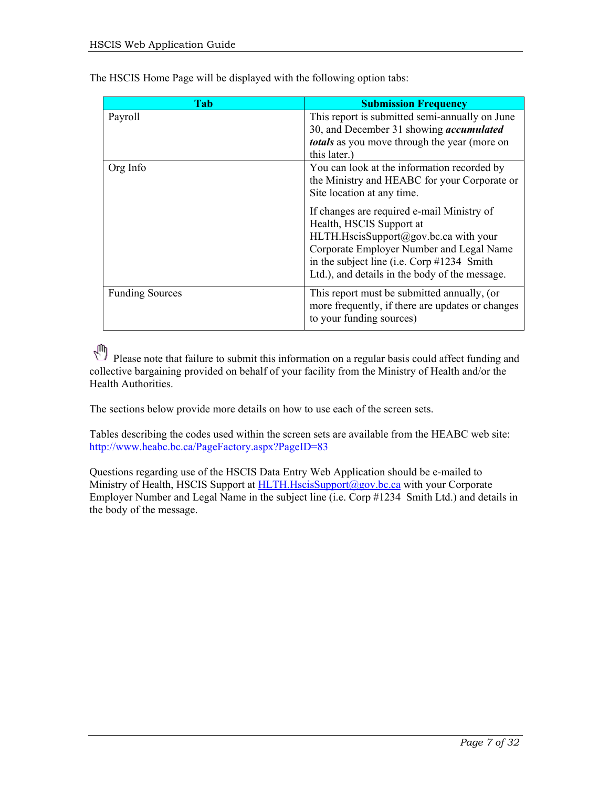| Tab                    | <b>Submission Frequency</b>                                                                                                                                                                                                                                                                                                                                                              |
|------------------------|------------------------------------------------------------------------------------------------------------------------------------------------------------------------------------------------------------------------------------------------------------------------------------------------------------------------------------------------------------------------------------------|
| Payroll                | This report is submitted semi-annually on June<br>30, and December 31 showing <i>accumulated</i><br><i>totals</i> as you move through the year (more on<br>this later.)                                                                                                                                                                                                                  |
| Org Info               | You can look at the information recorded by<br>the Ministry and HEABC for your Corporate or<br>Site location at any time.<br>If changes are required e-mail Ministry of<br>Health, HSCIS Support at<br>HLTH.HscisSupport@gov.bc.ca with your<br>Corporate Employer Number and Legal Name<br>in the subject line (i.e. Corp #1234 Smith<br>Ltd.), and details in the body of the message. |
| <b>Funding Sources</b> | This report must be submitted annually, (or<br>more frequently, if there are updates or changes<br>to your funding sources)                                                                                                                                                                                                                                                              |

The HSCIS Home Page will be displayed with the following option tabs:

Please note that failure to submit this information on a regular basis could affect funding and<br>
Please note that failure to submit this information on a regular basis could affect fund/or the collective bargaining provided on behalf of your facility from the Ministry of Health and/or the Health Authorities.

The sections below provide more details on how to use each of the screen sets.

Tables describing the codes used within the screen sets are available from the HEABC web site: http://www.heabc.bc.ca/PageFactory.aspx?PageID=83

Questions regarding use of the HSCIS Data Entry Web Application should be e-mailed to Ministry of Health, HSCIS Support at [HLTH.HscisSupport@gov.bc.ca](mailto:HLTH.HscisSupport@gov.bc.ca) with your Corporate Employer Number and Legal Name in the subject line (i.e. Corp #1234 Smith Ltd.) and details in the body of the message.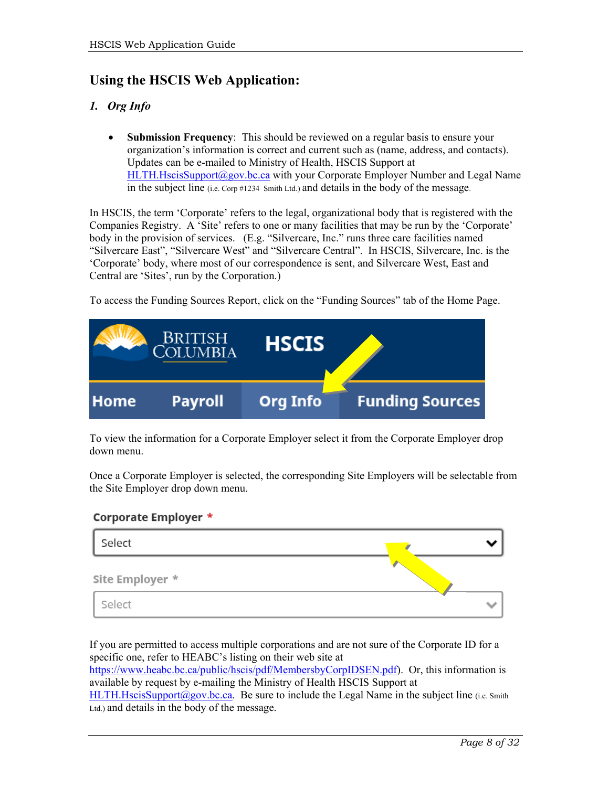### <span id="page-7-0"></span>**Using the HSCIS Web Application:**

#### <span id="page-7-1"></span>*1. Org Info*

• **Submission Frequency**: This should be reviewed on a regular basis to ensure your organization's information is correct and current such as (name, address, and contacts). Updates can be e-mailed to Ministry of Health, HSCIS Support at [HLTH.HscisSupport@gov.bc.ca](mailto:HLTH.HscisSupport@gov.bc.ca) with your Corporate Employer Number and Legal Name in the subject line (i.e. Corp #1234 Smith Ltd.) and details in the body of the message.

In HSCIS, the term 'Corporate' refers to the legal, organizational body that is registered with the Companies Registry. A 'Site' refers to one or many facilities that may be run by the 'Corporate' body in the provision of services. (E.g. "Silvercare, Inc." runs three care facilities named "Silvercare East", "Silvercare West" and "Silvercare Central". In HSCIS, Silvercare, Inc. is the 'Corporate' body, where most of our correspondence is sent, and Silvercare West, East and Central are 'Sites', run by the Corporation.)

To access the Funding Sources Report, click on the "Funding Sources" tab of the Home Page.

| <b>BRITISH</b><br>COLUMBIA |                | <b>HSCIS</b>    |                        |
|----------------------------|----------------|-----------------|------------------------|
| <b>Home</b>                | <b>Payroll</b> | <b>Org Info</b> | <b>Funding Sources</b> |

To view the information for a Corporate Employer select it from the Corporate Employer drop down menu.

Once a Corporate Employer is selected, the corresponding Site Employers will be selectable from the Site Employer drop down menu.

#### **Corporate Employer \***

| Select          |  |
|-----------------|--|
| Site Employer * |  |
| Select          |  |

If you are permitted to access multiple corporations and are not sure of the Corporate ID for a specific one, refer to HEABC's listing on their web site at

[https://www.heabc.bc.ca/public/hscis/pdf/MembersbyCorpIDSEN.pdf\)](https://www.heabc.bc.ca/public/hscis/pdf/MembersbyCorpIDSEN.pdf). Or, this information is available by request by e-mailing the Ministry of Health HSCIS Support at

[HLTH.HscisSupport@gov.bc.ca.](mailto:HLTH.HscisSupport@gov.bc.ca) Be sure to include the Legal Name in the subject line (i.e. Smith Ltd.) and details in the body of the message.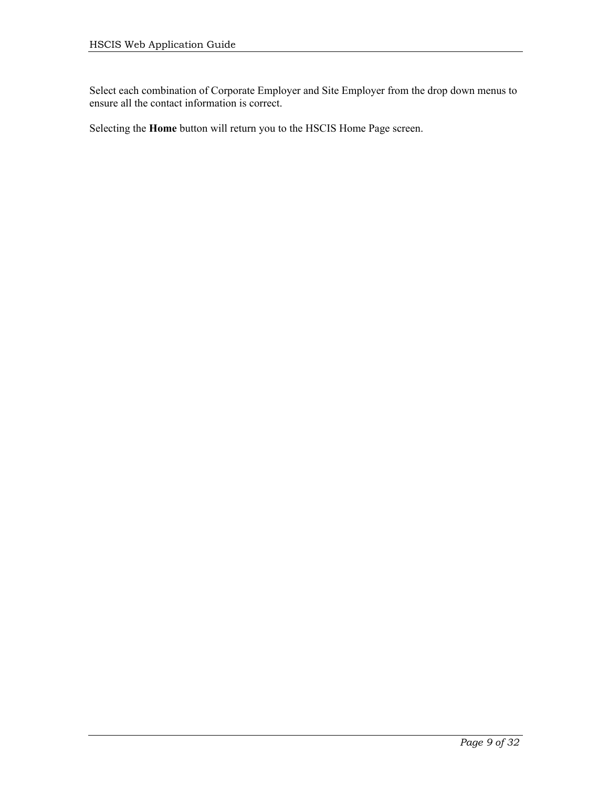Select each combination of Corporate Employer and Site Employer from the drop down menus to ensure all the contact information is correct.

Selecting the **Home** button will return you to the HSCIS Home Page screen.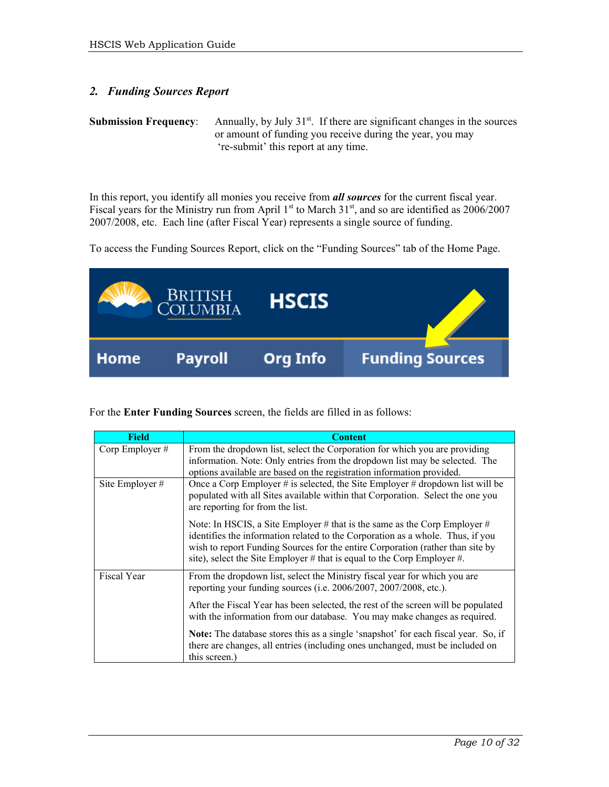#### <span id="page-9-0"></span>*2. Funding Sources Report*

**Submission Frequency:** Annually, by July 31<sup>st</sup>. If there are significant changes in the sources or amount of funding you receive during the year, you may 're-submit' this report at any time.

In this report, you identify all monies you receive from *all sources* for the current fiscal year. Fiscal years for the Ministry run from April 1<sup>st</sup> to March 31<sup>st</sup>, and so are identified as 2006/2007 2007/2008, etc. Each line (after Fiscal Year) represents a single source of funding.

To access the Funding Sources Report, click on the "Funding Sources" tab of the Home Page.



For the **Enter Funding Sources** screen, the fields are filled in as follows:

| Field             | <b>Content</b>                                                                                                                                                                                                                                                                                                           |  |
|-------------------|--------------------------------------------------------------------------------------------------------------------------------------------------------------------------------------------------------------------------------------------------------------------------------------------------------------------------|--|
| Corp Employer #   | From the dropdown list, select the Corporation for which you are providing<br>information. Note: Only entries from the dropdown list may be selected. The<br>options available are based on the registration information provided.                                                                                       |  |
| Site Employer $#$ | Once a Corp Employer # is selected, the Site Employer # dropdown list will be<br>populated with all Sites available within that Corporation. Select the one you<br>are reporting for from the list.                                                                                                                      |  |
|                   | Note: In HSCIS, a Site Employer # that is the same as the Corp Employer #<br>identifies the information related to the Corporation as a whole. Thus, if you<br>wish to report Funding Sources for the entire Corporation (rather than site by<br>site), select the Site Employer # that is equal to the Corp Employer #. |  |
| Fiscal Year       | From the dropdown list, select the Ministry fiscal year for which you are<br>reporting your funding sources (i.e. 2006/2007, 2007/2008, etc.).                                                                                                                                                                           |  |
|                   | After the Fiscal Year has been selected, the rest of the screen will be populated<br>with the information from our database. You may make changes as required.                                                                                                                                                           |  |
|                   | Note: The database stores this as a single 'snapshot' for each fiscal year. So, if<br>there are changes, all entries (including ones unchanged, must be included on<br>this screen.)                                                                                                                                     |  |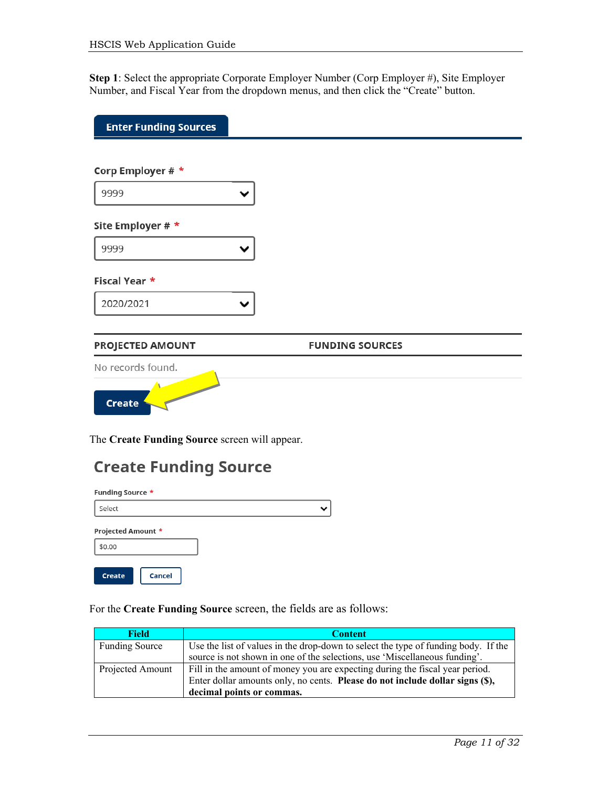**Step 1**: Select the appropriate Corporate Employer Number (Corp Employer #), Site Employer Number, and Fiscal Year from the dropdown menus, and then click the "Create" button.

| <b>Enter Funding Sources</b>                                                                                                                                                                                                                          |                        |  |
|-------------------------------------------------------------------------------------------------------------------------------------------------------------------------------------------------------------------------------------------------------|------------------------|--|
|                                                                                                                                                                                                                                                       |                        |  |
| Corp Employer # *                                                                                                                                                                                                                                     |                        |  |
| 9999                                                                                                                                                                                                                                                  |                        |  |
| Site Employer # *                                                                                                                                                                                                                                     |                        |  |
| 9999                                                                                                                                                                                                                                                  |                        |  |
| Fiscal Year *                                                                                                                                                                                                                                         |                        |  |
| 2020/2021                                                                                                                                                                                                                                             |                        |  |
| PROJECTED AMOUNT                                                                                                                                                                                                                                      | <b>FUNDING SOURCES</b> |  |
| No records found.                                                                                                                                                                                                                                     |                        |  |
| <b>Contract Contract Contract Contract Contract Contract Contract Contract Contract Contract Contract Contract Contract Contract Contract Contract Contract Contract Contract Contract Contract Contract Contract Contract Contr</b><br><b>Create</b> |                        |  |

The **Create Funding Source** screen will appear.

| <b>Create Funding Source</b> |  |
|------------------------------|--|
| <b>Funding Source *</b>      |  |
| Select                       |  |
| Projected Amount *           |  |
| \$0.00                       |  |
| Cancel<br><b>Create</b>      |  |

For the **Create Funding Source** screen, the fields are as follows:

| <b>Field</b>          | <b>Content</b>                                                                     |
|-----------------------|------------------------------------------------------------------------------------|
| <b>Funding Source</b> | Use the list of values in the drop-down to select the type of funding body. If the |
|                       | source is not shown in one of the selections, use 'Miscellaneous funding'.         |
| Projected Amount      | Fill in the amount of money you are expecting during the fiscal year period.       |
|                       | Enter dollar amounts only, no cents. Please do not include dollar signs (\$),      |
|                       | decimal points or commas.                                                          |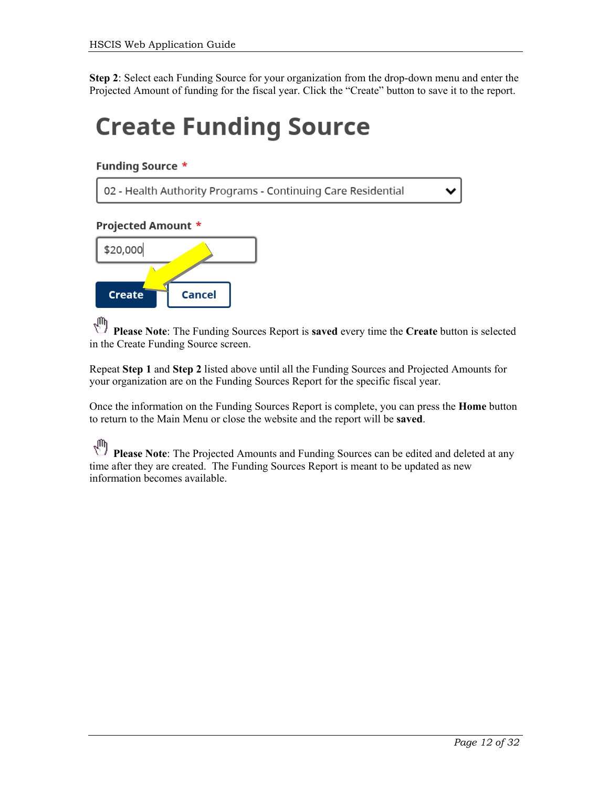**Step 2**: Select each Funding Source for your organization from the drop-down menu and enter the Projected Amount of funding for the fiscal year. Click the "Create" button to save it to the report.

## **Create Funding Source**

#### **Funding Source \***

02 - Health Authority Programs - Continuing Care Residential

#### Projected Amount \*



 $\sqrt{2}$ **Please Note**: The Funding Sources Report is **saved** every time the **Create** button is selected in the Create Funding Source screen.

Repeat **Step 1** and **Step 2** listed above until all the Funding Sources and Projected Amounts for your organization are on the Funding Sources Report for the specific fiscal year.

Once the information on the Funding Sources Report is complete, you can press the **Home** button to return to the Main Menu or close the website and the report will be **saved**.

₹η **Please Note**: The Projected Amounts and Funding Sources can be edited and deleted at any time after they are created. The Funding Sources Report is meant to be updated as new information becomes available.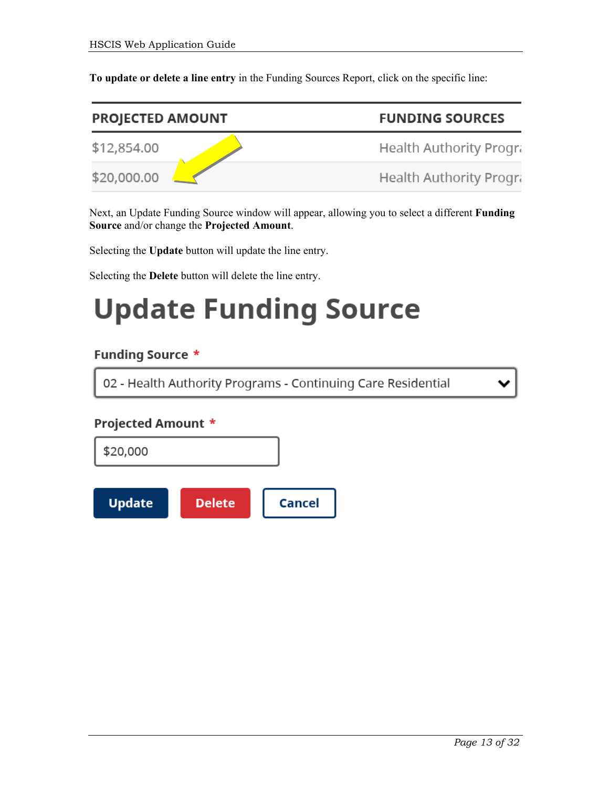**To update or delete a line entry** in the Funding Sources Report, click on the specific line:

| <b>PROJECTED AMOUNT</b> |  | <b>FUNDING SOURCES</b>  |
|-------------------------|--|-------------------------|
| \$12,854.00             |  | Health Authority Progra |
| \$20,000.00             |  | Health Authority Progra |

Next, an Update Funding Source window will appear, allowing you to select a different **Funding Source** and/or change the **Projected Amount**.

Selecting the **Update** button will update the line entry.

Selecting the **Delete** button will delete the line entry.

## **Update Funding Source**

#### **Funding Source \***

02 - Health Authority Programs - Continuing Care Residential

#### Projected Amount \*

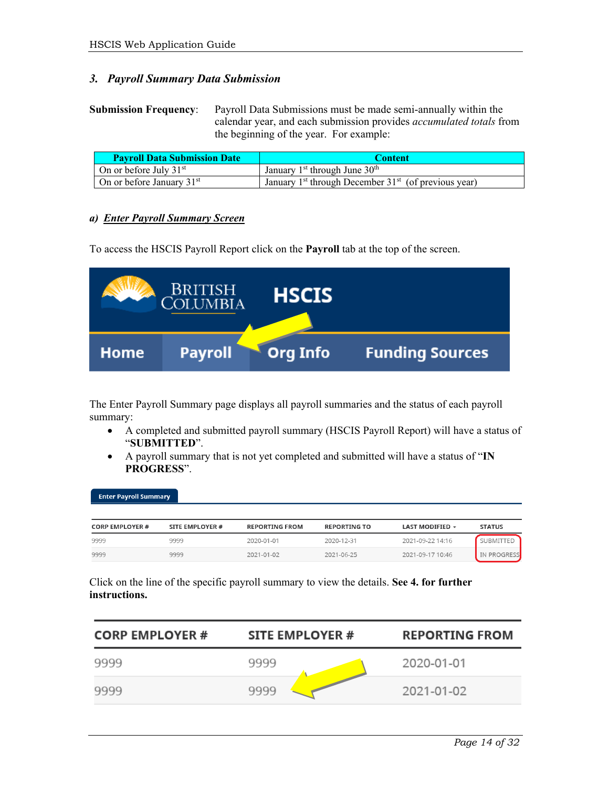#### <span id="page-13-0"></span>*3. Payroll Summary Data Submission*

**Submission Frequency**: Payroll Data Submissions must be made semi-annually within the calendar year, and each submission provides *accumulated totals* from the beginning of the year. For example:

| <b>Payroll Data Submission Date</b> | <b>Content</b>                                                     |
|-------------------------------------|--------------------------------------------------------------------|
| On or before July $31st$            | January $1st$ through June $30th$                                  |
| On or before January $31st$         | January 1 <sup>st</sup> through December $31st$ (of previous year) |

#### <span id="page-13-1"></span>*a) Enter Payroll Summary Screen*

To access the HSCIS Payroll Report click on the **Payroll** tab at the top of the screen.



The Enter Payroll Summary page displays all payroll summaries and the status of each payroll summary:

- A completed and submitted payroll summary (HSCIS Payroll Report) will have a status of "**SUBMITTED**".
- A payroll summary that is not yet completed and submitted will have a status of "**IN PROGRESS**".

| Enter Payroll Summary ' |                 |                       |                     |                        |                  |
|-------------------------|-----------------|-----------------------|---------------------|------------------------|------------------|
| <b>CORP EMPLOYER #</b>  | SITE EMPLOYER # | <b>REPORTING FROM</b> | <b>REPORTING TO</b> | <b>LAST MODIFIED -</b> | <b>STATUS</b>    |
| 9999                    | 9999            | 2020-01-01            | 2020-12-31          | 2021-09-22 14:16       | <b>SUBMITTED</b> |
| 9999                    | 9999            | 2021-01-02            | 2021-06-25          | 2021-09-17 10:46       | IN PROGRESS      |

Click on the line of the specific payroll summary to view the details. **See 4. for further instructions.**

| <b>CORP EMPLOYER #</b> | SITE EMPLOYER # | <b>REPORTING FROM</b> |
|------------------------|-----------------|-----------------------|
| 9999                   | 9999            | 2020-01-01            |
| 9999                   | 9999            | 2021-01-02            |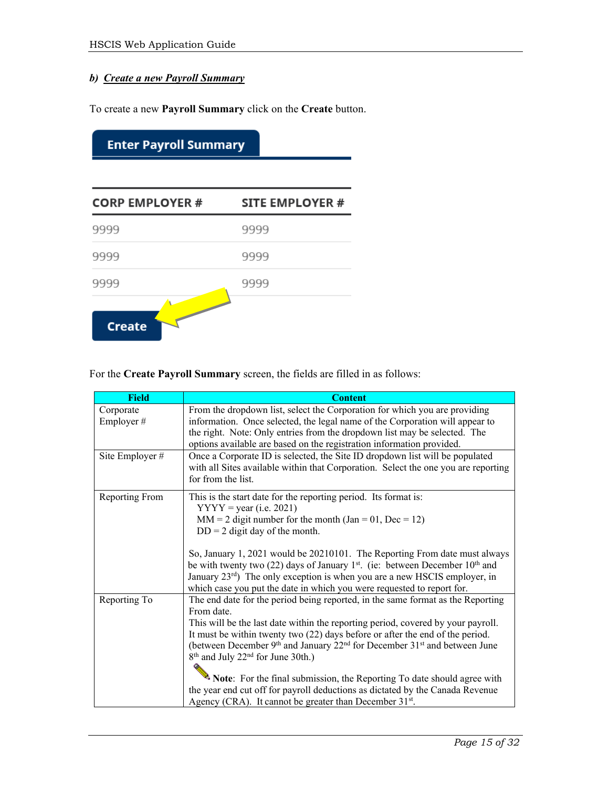#### *b) Create a new Payroll Summary*

To create a new **Payroll Summary** click on the **Create** button.

| <b>CORP EMPLOYER #</b> | <b>SITE EMPLOYER #</b> |
|------------------------|------------------------|
| 9999                   | 9999                   |
| 9999                   | 9999                   |
| 9999                   | 9999                   |

For the **Create Payroll Summary** screen, the fields are filled in as follows:

| <b>Field</b>           | <b>Content</b>                                                                                                                                                                                                                                                                                                                                                                                                                                                                                                                                                                                                                                                            |
|------------------------|---------------------------------------------------------------------------------------------------------------------------------------------------------------------------------------------------------------------------------------------------------------------------------------------------------------------------------------------------------------------------------------------------------------------------------------------------------------------------------------------------------------------------------------------------------------------------------------------------------------------------------------------------------------------------|
| Corporate<br>Employer# | From the dropdown list, select the Corporation for which you are providing<br>information. Once selected, the legal name of the Corporation will appear to<br>the right. Note: Only entries from the dropdown list may be selected. The<br>options available are based on the registration information provided.                                                                                                                                                                                                                                                                                                                                                          |
| Site Employer #        | Once a Corporate ID is selected, the Site ID dropdown list will be populated<br>with all Sites available within that Corporation. Select the one you are reporting<br>for from the list.                                                                                                                                                                                                                                                                                                                                                                                                                                                                                  |
| Reporting From         | This is the start date for the reporting period. Its format is:<br>$YYYY = year$ (i.e. 2021)<br>$MM = 2$ digit number for the month (Jan = 01, Dec = 12)<br>$DD = 2$ digit day of the month.<br>So, January 1, 2021 would be 20210101. The Reporting From date must always<br>be with twenty two (22) days of January 1 <sup>st</sup> . (ie: between December $10^{th}$ and<br>January 23rd) The only exception is when you are a new HSCIS employer, in<br>which case you put the date in which you were requested to report for.                                                                                                                                        |
| Reporting To           | The end date for the period being reported, in the same format as the Reporting<br>From date.<br>This will be the last date within the reporting period, covered by your payroll.<br>It must be within twenty two (22) days before or after the end of the period.<br>(between December $9th$ and January 22 <sup>nd</sup> for December 31 <sup>st</sup> and between June<br>8 <sup>th</sup> and July 22 <sup>nd</sup> for June 30th.)<br>Note: For the final submission, the Reporting To date should agree with<br>the year end cut off for payroll deductions as dictated by the Canada Revenue<br>Agency (CRA). It cannot be greater than December 31 <sup>st</sup> . |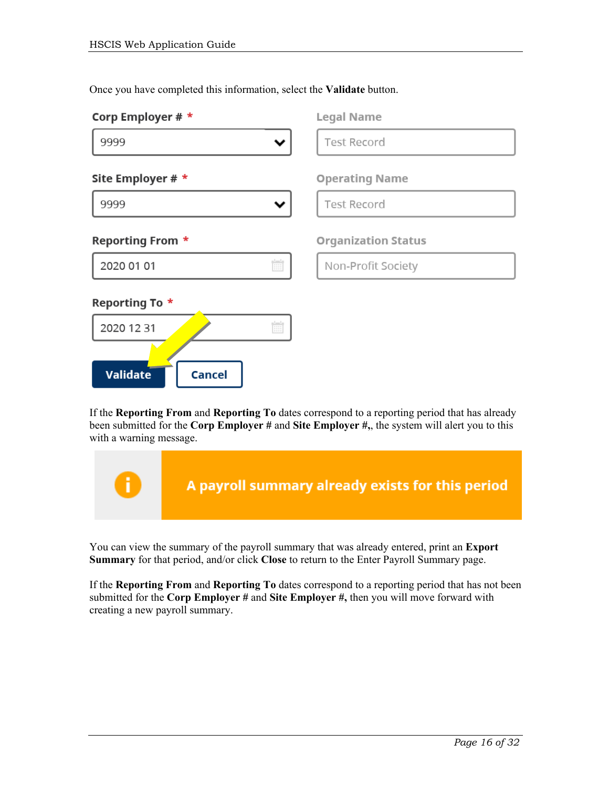**Validate** 

**Cancel** 

| Corp Employer $# *$     | <b>Legal Name</b>          |
|-------------------------|----------------------------|
| 9999                    | <b>Test Record</b>         |
| Site Employer # *       | <b>Operating Name</b>      |
| 9999                    | <b>Test Record</b>         |
| <b>Reporting From *</b> | <b>Organization Status</b> |
| Ħ<br>2020 01 01         | Non-Profit Society         |
| Reporting To *          |                            |
| Ė<br>2020 12 31         |                            |
|                         |                            |

Once you have completed this information, select the **Validate** button.

If the **Reporting From** and **Reporting To** dates correspond to a reporting period that has already been submitted for the **Corp Employer #** and **Site Employer #,**, the system will alert you to this with a warning message.



You can view the summary of the payroll summary that was already entered, print an **Export Summary** for that period, and/or click **Close** to return to the Enter Payroll Summary page.

If the **Reporting From** and **Reporting To** dates correspond to a reporting period that has not been submitted for the **Corp Employer #** and **Site Employer #,** then you will move forward with creating a new payroll summary.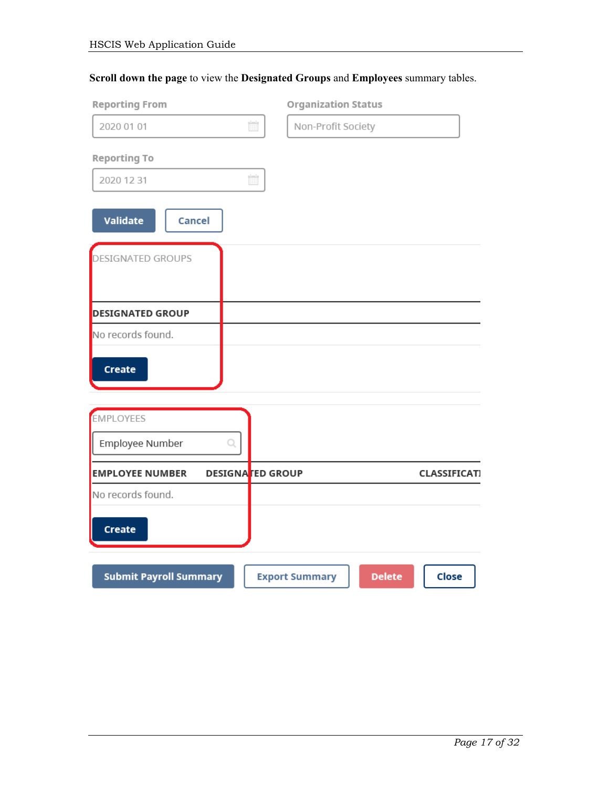|  | Scroll down the page to view the Designated Groups and Employees summary tables. |  |
|--|----------------------------------------------------------------------------------|--|
|--|----------------------------------------------------------------------------------|--|

| <b>Reporting From</b>         |                                                                        | <b>Organization Status</b> |               |                     |
|-------------------------------|------------------------------------------------------------------------|----------------------------|---------------|---------------------|
| 2020 01 01                    | $\begin{tabular}{ c c } \hline $t=1$ & \\\hline \hline \end{tabular}$  | Non-Profit Society         |               |                     |
| Reporting To                  |                                                                        |                            |               |                     |
| 2020 12 31                    | $\begin{tabular}{ c c } \hline $b=1$ & \\ \hline \hline \end{tabular}$ |                            |               |                     |
| <b>Validate</b><br>Cancel     |                                                                        |                            |               |                     |
| <b>DESIGNATED GROUPS</b>      |                                                                        |                            |               |                     |
| <b>DESIGNATED GROUP</b>       |                                                                        |                            |               |                     |
| No records found.             |                                                                        |                            |               |                     |
| Create                        |                                                                        |                            |               |                     |
| EMPLOYEES                     |                                                                        |                            |               |                     |
| Employee Number<br>Q          |                                                                        |                            |               |                     |
| <b>EMPLOYEE NUMBER</b>        | <b>DESIGNATED GROUP</b>                                                |                            |               | <b>CLASSIFICATI</b> |
| No records found.             |                                                                        |                            |               |                     |
| Create                        |                                                                        |                            |               |                     |
| <b>Submit Payroll Summary</b> |                                                                        | <b>Export Summary</b>      | <b>Delete</b> | Close               |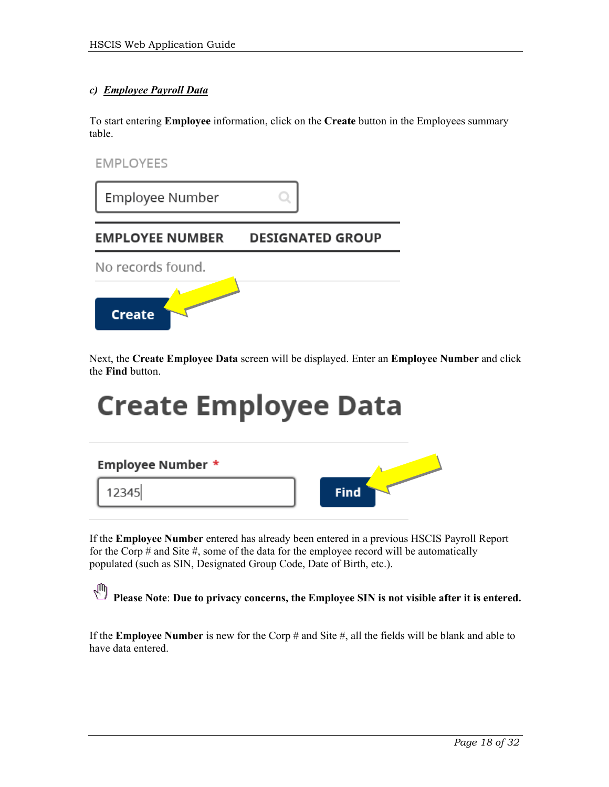#### *c) Employee Payroll Data*

To start entering **Employee** information, click on the **Create** button in the Employees summary table.



| Employee Number        |                         |
|------------------------|-------------------------|
| <b>EMPLOYEE NUMBER</b> | <b>DESIGNATED GROUP</b> |
| No records found.      |                         |
| <b>Create</b>          |                         |

Next, the **Create Employee Data** screen will be displayed. Enter an **Employee Number** and click the **Find** button.

## **Create Employee Data**

| <b>Employee Number *</b> |             |
|--------------------------|-------------|
| 12345                    | <b>Find</b> |

If the **Employee Number** entered has already been entered in a previous HSCIS Payroll Report for the Corp # and Site #, some of the data for the employee record will be automatically populated (such as SIN, Designated Group Code, Date of Birth, etc.).

**Please Note: Due to privacy concerns, the Employee SIN** is not visible after it is entered.

If the **Employee Number** is new for the Corp # and Site #, all the fields will be blank and able to have data entered.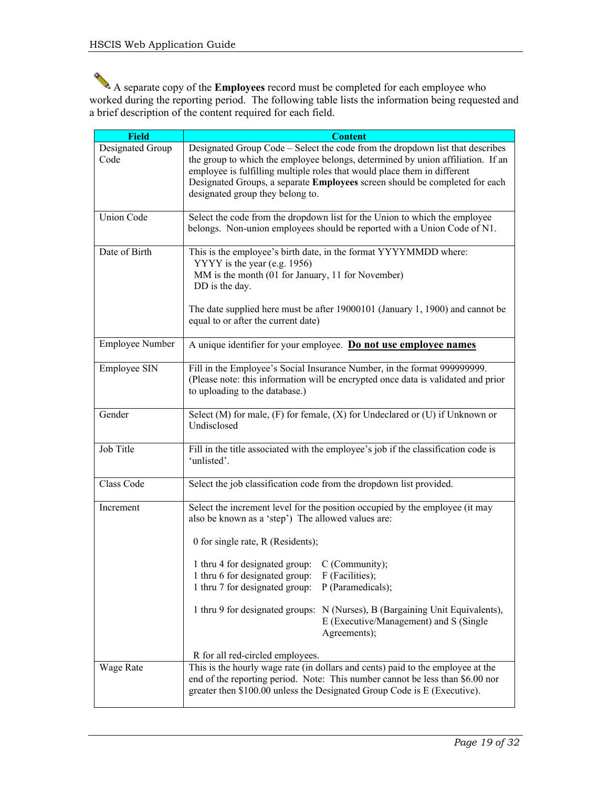A separate copy of the **Employees** record must be completed for each employee who worked during the reporting period. The following table lists the information being requested and a brief description of the content required for each field.

| <b>Field</b>             | <b>Content</b>                                                                                                                                                                                                                                                                                                                                                  |
|--------------------------|-----------------------------------------------------------------------------------------------------------------------------------------------------------------------------------------------------------------------------------------------------------------------------------------------------------------------------------------------------------------|
| Designated Group<br>Code | Designated Group Code - Select the code from the dropdown list that describes<br>the group to which the employee belongs, determined by union affiliation. If an<br>employee is fulfilling multiple roles that would place them in different<br>Designated Groups, a separate Employees screen should be completed for each<br>designated group they belong to. |
| <b>Union Code</b>        | Select the code from the dropdown list for the Union to which the employee<br>belongs. Non-union employees should be reported with a Union Code of N1.                                                                                                                                                                                                          |
| Date of Birth            | This is the employee's birth date, in the format YYYYMMDD where:<br>YYYY is the year (e.g. 1956)<br>MM is the month (01 for January, 11 for November)<br>DD is the day.<br>The date supplied here must be after 19000101 (January 1, 1900) and cannot be<br>equal to or after the current date)                                                                 |
| Employee Number          | A unique identifier for your employee. Do not use employee names                                                                                                                                                                                                                                                                                                |
| Employee SIN             | Fill in the Employee's Social Insurance Number, in the format 999999999.<br>(Please note: this information will be encrypted once data is validated and prior<br>to uploading to the database.)                                                                                                                                                                 |
| Gender                   | Select (M) for male, (F) for female, (X) for Undeclared or (U) if Unknown or<br>Undisclosed                                                                                                                                                                                                                                                                     |
| Job Title                | Fill in the title associated with the employee's job if the classification code is<br>'unlisted'.                                                                                                                                                                                                                                                               |
| Class Code               | Select the job classification code from the dropdown list provided.                                                                                                                                                                                                                                                                                             |
| Increment                | Select the increment level for the position occupied by the employee (it may<br>also be known as a 'step') The allowed values are:<br>0 for single rate, R (Residents);                                                                                                                                                                                         |
|                          | 1 thru 4 for designated group: C (Community);<br>1 thru 6 for designated group:<br>F (Facilities);<br>1 thru 7 for designated group:<br>P (Paramedicals);                                                                                                                                                                                                       |
|                          | 1 thru 9 for designated groups: N (Nurses), B (Bargaining Unit Equivalents),<br>E (Executive/Management) and S (Single<br>Agreements);                                                                                                                                                                                                                          |
|                          | R for all red-circled employees.                                                                                                                                                                                                                                                                                                                                |
| Wage Rate                | This is the hourly wage rate (in dollars and cents) paid to the employee at the<br>end of the reporting period. Note: This number cannot be less than \$6.00 nor<br>greater then \$100.00 unless the Designated Group Code is E (Executive).                                                                                                                    |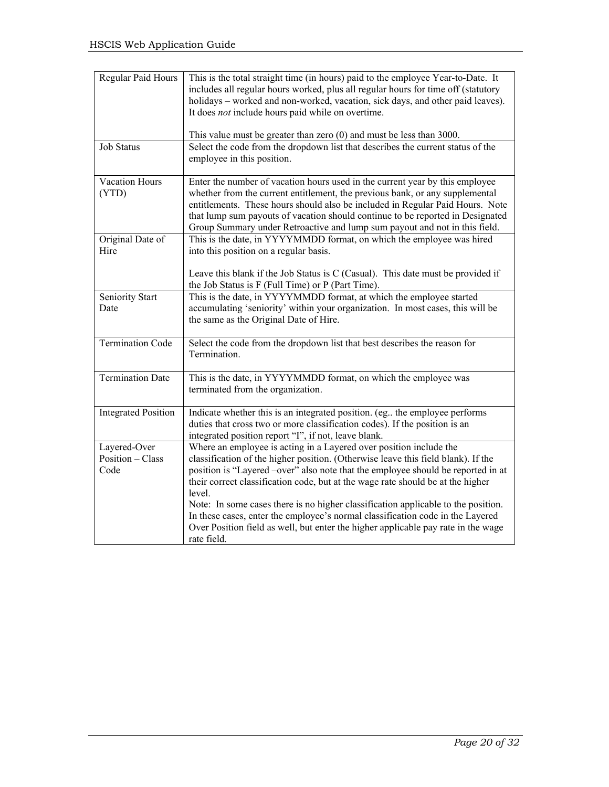| Regular Paid Hours                       | This is the total straight time (in hours) paid to the employee Year-to-Date. It<br>includes all regular hours worked, plus all regular hours for time off (statutory<br>holidays - worked and non-worked, vacation, sick days, and other paid leaves).<br>It does <i>not</i> include hours paid while on overtime.<br>This value must be greater than zero $(0)$ and must be less than 3000.                                 |
|------------------------------------------|-------------------------------------------------------------------------------------------------------------------------------------------------------------------------------------------------------------------------------------------------------------------------------------------------------------------------------------------------------------------------------------------------------------------------------|
| <b>Job Status</b>                        | Select the code from the dropdown list that describes the current status of the<br>employee in this position.                                                                                                                                                                                                                                                                                                                 |
| Vacation Hours<br>(YTD)                  | Enter the number of vacation hours used in the current year by this employee<br>whether from the current entitlement, the previous bank, or any supplemental<br>entitlements. These hours should also be included in Regular Paid Hours. Note<br>that lump sum payouts of vacation should continue to be reported in Designated<br>Group Summary under Retroactive and lump sum payout and not in this field.                 |
| Original Date of<br>Hire                 | This is the date, in YYYYMMDD format, on which the employee was hired<br>into this position on a regular basis.                                                                                                                                                                                                                                                                                                               |
|                                          | Leave this blank if the Job Status is C (Casual). This date must be provided if<br>the Job Status is F (Full Time) or P (Part Time).                                                                                                                                                                                                                                                                                          |
| Seniority Start<br>Date                  | This is the date, in YYYYMMDD format, at which the employee started<br>accumulating 'seniority' within your organization. In most cases, this will be<br>the same as the Original Date of Hire.                                                                                                                                                                                                                               |
| <b>Termination Code</b>                  | Select the code from the dropdown list that best describes the reason for<br>Termination.                                                                                                                                                                                                                                                                                                                                     |
| <b>Termination Date</b>                  | This is the date, in YYYYMMDD format, on which the employee was<br>terminated from the organization.                                                                                                                                                                                                                                                                                                                          |
| <b>Integrated Position</b>               | Indicate whether this is an integrated position. (eg., the employee performs<br>duties that cross two or more classification codes). If the position is an<br>integrated position report "I", if not, leave blank.                                                                                                                                                                                                            |
| Layered-Over<br>Position - Class<br>Code | Where an employee is acting in a Layered over position include the<br>classification of the higher position. (Otherwise leave this field blank). If the<br>position is "Layered -over" also note that the employee should be reported in at<br>their correct classification code, but at the wage rate should be at the higher<br>level.<br>Note: In some cases there is no higher classification applicable to the position. |
|                                          | In these cases, enter the employee's normal classification code in the Layered<br>Over Position field as well, but enter the higher applicable pay rate in the wage<br>rate field.                                                                                                                                                                                                                                            |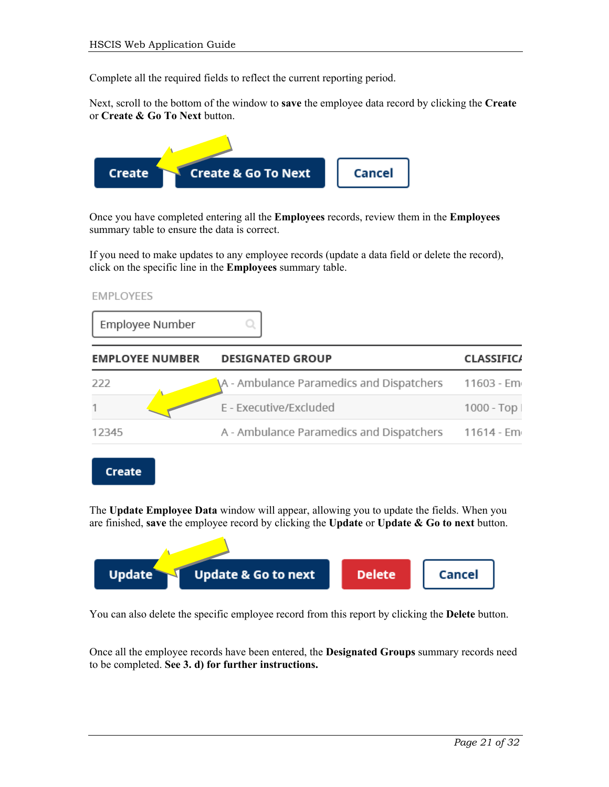Complete all the required fields to reflect the current reporting period.

Next, scroll to the bottom of the window to **save** the employee data record by clicking the **Create**  or **Create & Go To Next** button.



Once you have completed entering all the **Employees** records, review them in the **Employees**  summary table to ensure the data is correct.

If you need to make updates to any employee records (update a data field or delete the record), click on the specific line in the **Employees** summary table.

**EMPLOYEES** 

Create

Employee Number

| <b>EMPLOYEE NUMBER</b> | <b>DESIGNATED GROUP</b>                  | <b>CLASSIFICA</b> |
|------------------------|------------------------------------------|-------------------|
| 222                    | A - Ambulance Paramedics and Dispatchers | 11603 - Em        |
|                        | E - Executive/Excluded                   | $1000 - Top$      |
| 12345                  | A - Ambulance Paramedics and Dispatchers | 11614 - Em        |
|                        |                                          |                   |

The **Update Employee Data** window will appear, allowing you to update the fields. When you are finished, **save** the employee record by clicking the **Update** or **Update & Go to next** button.



You can also delete the specific employee record from this report by clicking the **Delete** button.

Once all the employee records have been entered, the **Designated Groups** summary records need to be completed. **See 3. d) for further instructions.**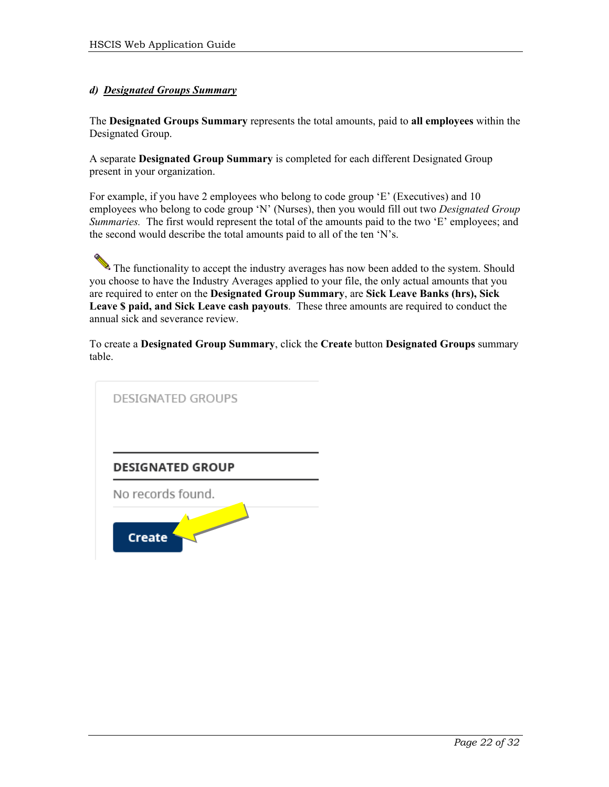#### *d) Designated Groups Summary*

The **Designated Groups Summary** represents the total amounts, paid to **all employees** within the Designated Group.

A separate **Designated Group Summary** is completed for each different Designated Group present in your organization.

For example, if you have 2 employees who belong to code group 'E' (Executives) and 10 employees who belong to code group 'N' (Nurses), then you would fill out two *Designated Group Summaries.* The first would represent the total of the amounts paid to the two 'E' employees; and the second would describe the total amounts paid to all of the ten 'N's.

The functionality to accept the industry averages has now been added to the system. Should you choose to have the Industry Averages applied to your file, the only actual amounts that you are required to enter on the **Designated Group Summary**, are **Sick Leave Banks (hrs), Sick Leave \$ paid, and Sick Leave cash payouts**. These three amounts are required to conduct the annual sick and severance review.

To create a **Designated Group Summary**, click the **Create** button **Designated Groups** summary table.

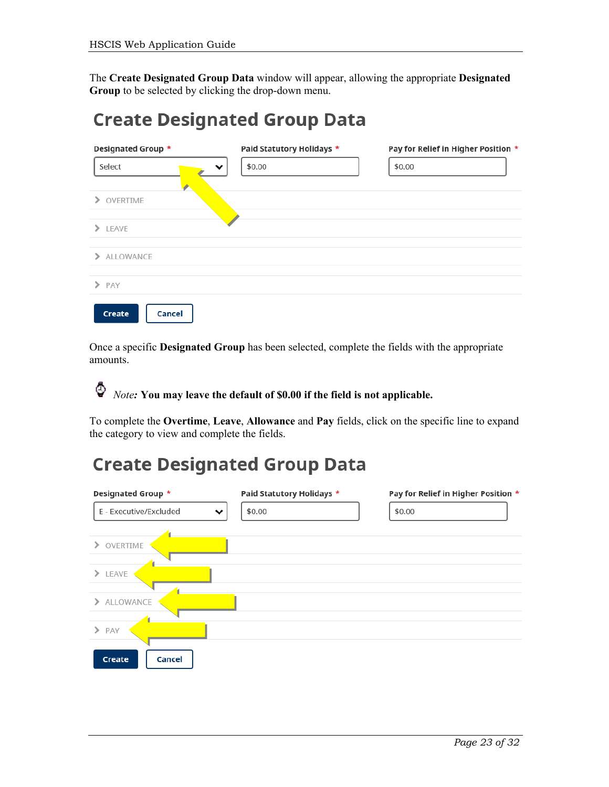The **Create Designated Group Data** window will appear, allowing the appropriate **Designated Group** to be selected by clicking the drop-down menu.

### **Create Designated Group Data**

| Designated Group *   | Paid Statutory Holidays * | Pay for Relief in Higher Position * |
|----------------------|---------------------------|-------------------------------------|
| Select<br>v          | \$0.00                    | \$0.00                              |
| OVERTIME<br>$\geq$   |                           |                                     |
| $\sum$ LEAVE         |                           |                                     |
| > ALLOWANCE          |                           |                                     |
| $\triangleright$ PAY |                           |                                     |
| Cancel<br>Create     |                           |                                     |

Once a specific **Designated Group** has been selected, complete the fields with the appropriate amounts.

♦ *Note:* **You may leave the default of \$0.00 if the field is not applicable.** 

To complete the **Overtime**, **Leave**, **Allowance** and **Pay** fields, click on the specific line to expand the category to view and complete the fields.

### **Create Designated Group Data**

| Designated Group *                     | Paid Statutory Holidays * | Pay for Relief in Higher Position * |
|----------------------------------------|---------------------------|-------------------------------------|
| E - Executive/Excluded<br>$\checkmark$ | \$0.00                    | \$0.00                              |
| OVERTIME<br>⋋                          |                           |                                     |
| LEAVE<br>$\rightarrow$                 |                           |                                     |
| ALLOWANCE<br>⋋                         |                           |                                     |
| $\rightarrow$<br>PAY                   |                           |                                     |
| Cancel<br>Create                       |                           |                                     |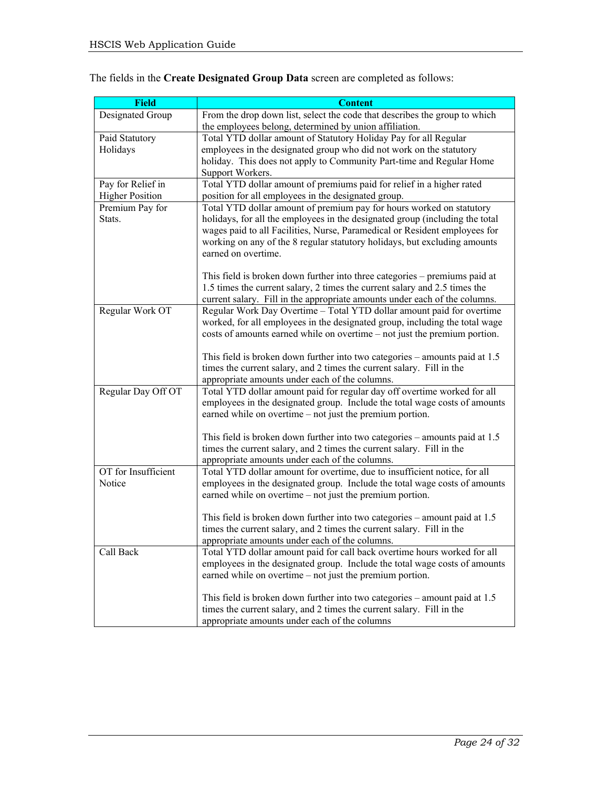| <b>Field</b>           | <b>Content</b>                                                                                                                         |
|------------------------|----------------------------------------------------------------------------------------------------------------------------------------|
| Designated Group       | From the drop down list, select the code that describes the group to which                                                             |
|                        | the employees belong, determined by union affiliation.                                                                                 |
| Paid Statutory         | Total YTD dollar amount of Statutory Holiday Pay for all Regular                                                                       |
| Holidays               | employees in the designated group who did not work on the statutory                                                                    |
|                        | holiday. This does not apply to Community Part-time and Regular Home                                                                   |
|                        | Support Workers.                                                                                                                       |
| Pay for Relief in      | Total YTD dollar amount of premiums paid for relief in a higher rated                                                                  |
| <b>Higher Position</b> | position for all employees in the designated group.                                                                                    |
| Premium Pay for        | Total YTD dollar amount of premium pay for hours worked on statutory                                                                   |
| Stats.                 | holidays, for all the employees in the designated group (including the total                                                           |
|                        | wages paid to all Facilities, Nurse, Paramedical or Resident employees for                                                             |
|                        | working on any of the 8 regular statutory holidays, but excluding amounts                                                              |
|                        | earned on overtime.                                                                                                                    |
|                        |                                                                                                                                        |
|                        | This field is broken down further into three categories – premiums paid at                                                             |
|                        | 1.5 times the current salary, 2 times the current salary and 2.5 times the                                                             |
|                        | current salary. Fill in the appropriate amounts under each of the columns.                                                             |
| Regular Work OT        | Regular Work Day Overtime - Total YTD dollar amount paid for overtime                                                                  |
|                        | worked, for all employees in the designated group, including the total wage                                                            |
|                        | costs of amounts earned while on overtime – not just the premium portion.                                                              |
|                        |                                                                                                                                        |
|                        | This field is broken down further into two categories – amounts paid at 1.5                                                            |
|                        | times the current salary, and 2 times the current salary. Fill in the                                                                  |
|                        | appropriate amounts under each of the columns.                                                                                         |
| Regular Day Off OT     | Total YTD dollar amount paid for regular day off overtime worked for all                                                               |
|                        | employees in the designated group. Include the total wage costs of amounts<br>earned while on overtime – not just the premium portion. |
|                        |                                                                                                                                        |
|                        | This field is broken down further into two categories – amounts paid at 1.5                                                            |
|                        | times the current salary, and 2 times the current salary. Fill in the                                                                  |
|                        | appropriate amounts under each of the columns.                                                                                         |
| OT for Insufficient    | Total YTD dollar amount for overtime, due to insufficient notice, for all                                                              |
| Notice                 | employees in the designated group. Include the total wage costs of amounts                                                             |
|                        | earned while on overtime – not just the premium portion.                                                                               |
|                        |                                                                                                                                        |
|                        | This field is broken down further into two categories – amount paid at $1.5$                                                           |
|                        | times the current salary, and 2 times the current salary. Fill in the                                                                  |
|                        | appropriate amounts under each of the columns.                                                                                         |
| Call Back              | Total YTD dollar amount paid for call back overtime hours worked for all                                                               |
|                        | employees in the designated group. Include the total wage costs of amounts                                                             |
|                        | earned while on overtime – not just the premium portion.                                                                               |
|                        |                                                                                                                                        |
|                        | This field is broken down further into two categories – amount paid at $1.5$                                                           |
|                        | times the current salary, and 2 times the current salary. Fill in the                                                                  |
|                        | appropriate amounts under each of the columns                                                                                          |

#### The fields in the **Create Designated Group Data** screen are completed as follows: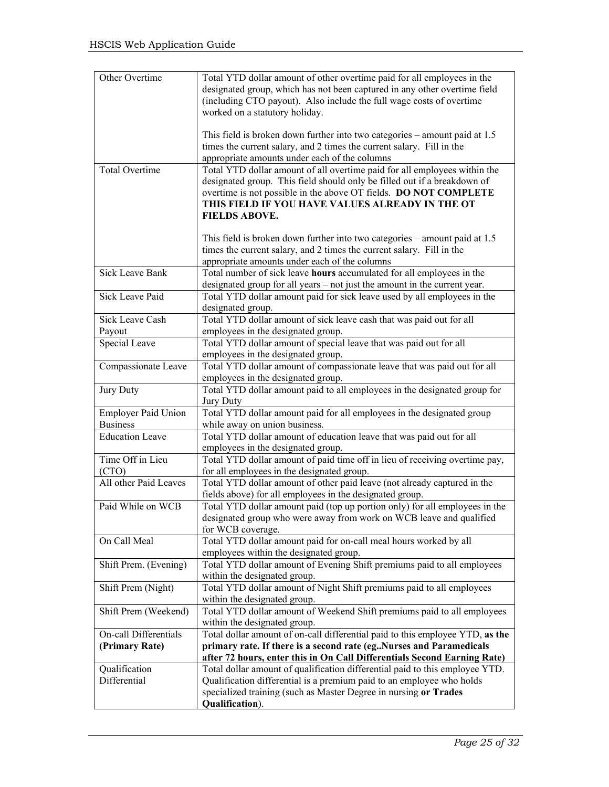| Other Overtime             | Total YTD dollar amount of other overtime paid for all employees in the       |
|----------------------------|-------------------------------------------------------------------------------|
|                            | designated group, which has not been captured in any other overtime field     |
|                            | (including CTO payout). Also include the full wage costs of overtime          |
|                            | worked on a statutory holiday.                                                |
|                            |                                                                               |
|                            | This field is broken down further into two categories – amount paid at $1.5$  |
|                            | times the current salary, and 2 times the current salary. Fill in the         |
|                            | appropriate amounts under each of the columns                                 |
| Total Overtime             | Total YTD dollar amount of all overtime paid for all employees within the     |
|                            | designated group. This field should only be filled out if a breakdown of      |
|                            | overtime is not possible in the above OT fields. DO NOT COMPLETE              |
|                            | THIS FIELD IF YOU HAVE VALUES ALREADY IN THE OT                               |
|                            | <b>FIELDS ABOVE.</b>                                                          |
|                            |                                                                               |
|                            | This field is broken down further into two categories – amount paid at $1.5$  |
|                            | times the current salary, and 2 times the current salary. Fill in the         |
|                            | appropriate amounts under each of the columns                                 |
| <b>Sick Leave Bank</b>     | Total number of sick leave hours accumulated for all employees in the         |
|                            | designated group for all years - not just the amount in the current year.     |
| <b>Sick Leave Paid</b>     | Total YTD dollar amount paid for sick leave used by all employees in the      |
|                            | designated group.                                                             |
| Sick Leave Cash            | Total YTD dollar amount of sick leave cash that was paid out for all          |
| Payout                     | employees in the designated group.                                            |
| Special Leave              | Total YTD dollar amount of special leave that was paid out for all            |
|                            | employees in the designated group.                                            |
| Compassionate Leave        | Total YTD dollar amount of compassionate leave that was paid out for all      |
|                            | employees in the designated group.                                            |
| Jury Duty                  | Total YTD dollar amount paid to all employees in the designated group for     |
|                            | Jury Duty                                                                     |
| <b>Employer Paid Union</b> | Total YTD dollar amount paid for all employees in the designated group        |
| <b>Business</b>            | while away on union business.                                                 |
| <b>Education Leave</b>     | Total YTD dollar amount of education leave that was paid out for all          |
|                            | employees in the designated group.                                            |
| Time Off in Lieu           | Total YTD dollar amount of paid time off in lieu of receiving overtime pay,   |
| (CTO)                      | for all employees in the designated group.                                    |
| All other Paid Leaves      | Total YTD dollar amount of other paid leave (not already captured in the      |
|                            | fields above) for all employees in the designated group.                      |
| Paid While on WCB          | Total YTD dollar amount paid (top up portion only) for all employees in the   |
|                            | designated group who were away from work on WCB leave and qualified           |
|                            | for WCB coverage.                                                             |
| On Call Meal               | Total YTD dollar amount paid for on-call meal hours worked by all             |
|                            | employees within the designated group.                                        |
| Shift Prem. (Evening)      | Total YTD dollar amount of Evening Shift premiums paid to all employees       |
|                            | within the designated group.                                                  |
| Shift Prem (Night)         | Total YTD dollar amount of Night Shift premiums paid to all employees         |
|                            | within the designated group.                                                  |
| Shift Prem (Weekend)       | Total YTD dollar amount of Weekend Shift premiums paid to all employees       |
|                            | within the designated group.                                                  |
| On-call Differentials      | Total dollar amount of on-call differential paid to this employee YTD, as the |
| (Primary Rate)             | primary rate. If there is a second rate (egNurses and Paramedicals            |
|                            | after 72 hours, enter this in On Call Differentials Second Earning Rate)      |
| Qualification              | Total dollar amount of qualification differential paid to this employee YTD.  |
| Differential               | Qualification differential is a premium paid to an employee who holds         |
|                            | specialized training (such as Master Degree in nursing or Trades              |
|                            | Qualification).                                                               |
|                            |                                                                               |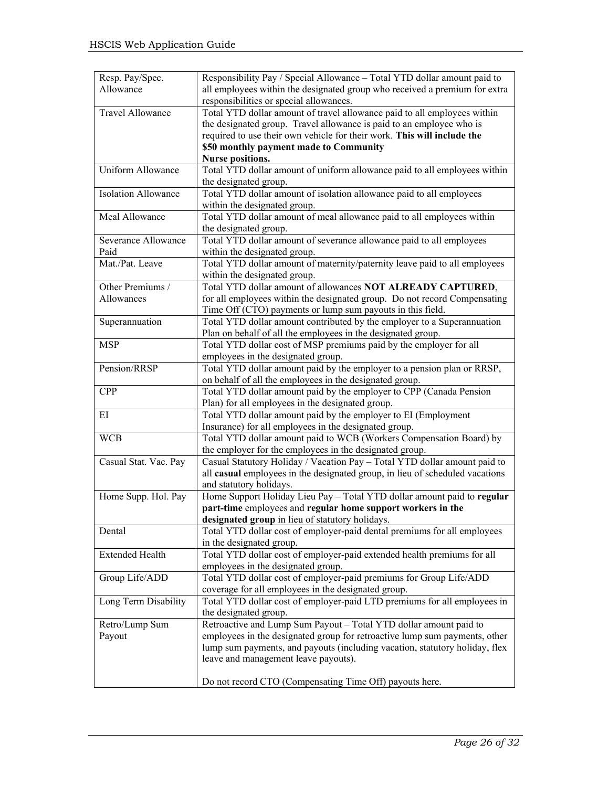| Resp. Pay/Spec.         | Responsibility Pay / Special Allowance - Total YTD dollar amount paid to                                                       |
|-------------------------|--------------------------------------------------------------------------------------------------------------------------------|
| Allowance               | all employees within the designated group who received a premium for extra                                                     |
|                         | responsibilities or special allowances.                                                                                        |
| <b>Travel Allowance</b> | Total YTD dollar amount of travel allowance paid to all employees within                                                       |
|                         | the designated group. Travel allowance is paid to an employee who is                                                           |
|                         | required to use their own vehicle for their work. This will include the                                                        |
|                         | \$50 monthly payment made to Community                                                                                         |
|                         | <b>Nurse positions.</b>                                                                                                        |
| Uniform Allowance       | Total YTD dollar amount of uniform allowance paid to all employees within                                                      |
|                         | the designated group.                                                                                                          |
| Isolation Allowance     | Total YTD dollar amount of isolation allowance paid to all employees                                                           |
|                         | within the designated group.                                                                                                   |
| Meal Allowance          | Total YTD dollar amount of meal allowance paid to all employees within                                                         |
|                         | the designated group.                                                                                                          |
| Severance Allowance     | Total YTD dollar amount of severance allowance paid to all employees                                                           |
| Paid                    |                                                                                                                                |
| Mat./Pat. Leave         | within the designated group.<br>Total YTD dollar amount of maternity/paternity leave paid to all employees                     |
|                         | within the designated group.                                                                                                   |
| Other Premiums /        | Total YTD dollar amount of allowances NOT ALREADY CAPTURED,                                                                    |
| Allowances              | for all employees within the designated group. Do not record Compensating                                                      |
|                         | Time Off (CTO) payments or lump sum payouts in this field.                                                                     |
|                         | Total YTD dollar amount contributed by the employer to a Superannuation                                                        |
| Superannuation          |                                                                                                                                |
|                         | Plan on behalf of all the employees in the designated group.                                                                   |
| <b>MSP</b>              | Total YTD dollar cost of MSP premiums paid by the employer for all                                                             |
|                         | employees in the designated group.                                                                                             |
| Pension/RRSP            | Total YTD dollar amount paid by the employer to a pension plan or RRSP,                                                        |
|                         | on behalf of all the employees in the designated group.                                                                        |
| <b>CPP</b>              | Total YTD dollar amount paid by the employer to CPP (Canada Pension                                                            |
|                         | Plan) for all employees in the designated group.                                                                               |
| ΕI                      | Total YTD dollar amount paid by the employer to EI (Employment                                                                 |
|                         | Insurance) for all employees in the designated group.                                                                          |
| <b>WCB</b>              | Total YTD dollar amount paid to WCB (Workers Compensation Board) by<br>the employer for the employees in the designated group. |
|                         | Casual Statutory Holiday / Vacation Pay - Total YTD dollar amount paid to                                                      |
| Casual Stat. Vac. Pay   |                                                                                                                                |
|                         | all casual employees in the designated group, in lieu of scheduled vacations<br>and statutory holidays.                        |
|                         | Home Support Holiday Lieu Pay - Total YTD dollar amount paid to regular                                                        |
| Home Supp. Hol. Pay     |                                                                                                                                |
|                         | part-time employees and regular home support workers in the                                                                    |
|                         | designated group in lieu of statutory holidays.                                                                                |
| Dental                  | Total YTD dollar cost of employer-paid dental premiums for all employees                                                       |
|                         | in the designated group.                                                                                                       |
| <b>Extended Health</b>  | Total YTD dollar cost of employer-paid extended health premiums for all                                                        |
|                         | employees in the designated group.                                                                                             |
| Group Life/ADD          | Total YTD dollar cost of employer-paid premiums for Group Life/ADD                                                             |
|                         | coverage for all employees in the designated group.                                                                            |
| Long Term Disability    | Total YTD dollar cost of employer-paid LTD premiums for all employees in                                                       |
|                         | the designated group.                                                                                                          |
| Retro/Lump Sum          | Retroactive and Lump Sum Payout - Total YTD dollar amount paid to                                                              |
| Payout                  | employees in the designated group for retroactive lump sum payments, other                                                     |
|                         | lump sum payments, and payouts (including vacation, statutory holiday, flex                                                    |
|                         | leave and management leave payouts).                                                                                           |
|                         |                                                                                                                                |
|                         | Do not record CTO (Compensating Time Off) payouts here.                                                                        |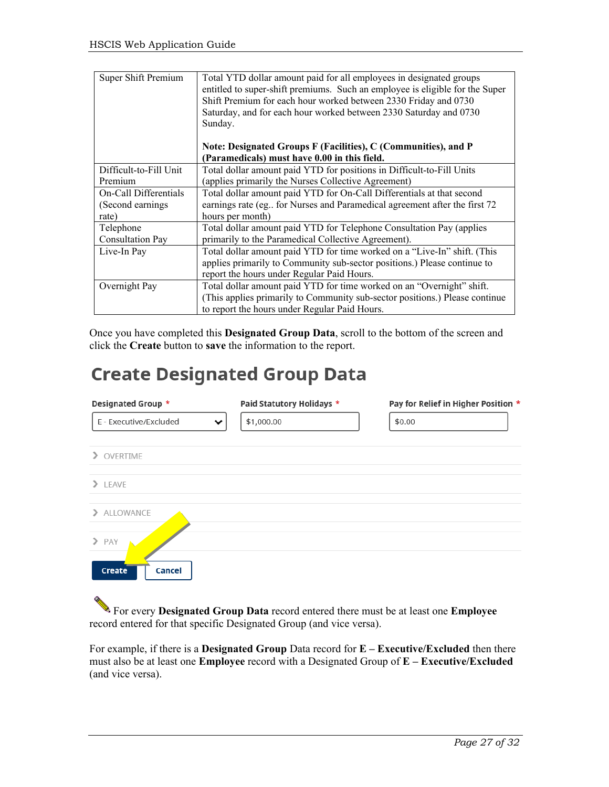| Super Shift Premium    | Total YTD dollar amount paid for all employees in designated groups<br>entitled to super-shift premiums. Such an employee is eligible for the Super<br>Shift Premium for each hour worked between 2330 Friday and 0730<br>Saturday, and for each hour worked between 2330 Saturday and 0730<br>Sunday.<br>Note: Designated Groups F (Facilities), C (Communities), and P<br>(Paramedicals) must have 0.00 in this field. |
|------------------------|--------------------------------------------------------------------------------------------------------------------------------------------------------------------------------------------------------------------------------------------------------------------------------------------------------------------------------------------------------------------------------------------------------------------------|
| Difficult-to-Fill Unit | Total dollar amount paid YTD for positions in Difficult-to-Fill Units                                                                                                                                                                                                                                                                                                                                                    |
| Premium                | (applies primarily the Nurses Collective Agreement)                                                                                                                                                                                                                                                                                                                                                                      |
| On-Call Differentials  | Total dollar amount paid YTD for On-Call Differentials at that second                                                                                                                                                                                                                                                                                                                                                    |
| (Second earnings)      | earnings rate (eg for Nurses and Paramedical agreement after the first 72                                                                                                                                                                                                                                                                                                                                                |
| rate)                  | hours per month)                                                                                                                                                                                                                                                                                                                                                                                                         |
| Telephone              | Total dollar amount paid YTD for Telephone Consultation Pay (applies                                                                                                                                                                                                                                                                                                                                                     |
| Consultation Pay       | primarily to the Paramedical Collective Agreement).                                                                                                                                                                                                                                                                                                                                                                      |
| Live-In Pay            | Total dollar amount paid YTD for time worked on a "Live-In" shift. (This                                                                                                                                                                                                                                                                                                                                                 |
|                        | applies primarily to Community sub-sector positions.) Please continue to                                                                                                                                                                                                                                                                                                                                                 |
|                        | report the hours under Regular Paid Hours.                                                                                                                                                                                                                                                                                                                                                                               |
| Overnight Pay          | Total dollar amount paid YTD for time worked on an "Overnight" shift.                                                                                                                                                                                                                                                                                                                                                    |
|                        | (This applies primarily to Community sub-sector positions.) Please continue                                                                                                                                                                                                                                                                                                                                              |
|                        | to report the hours under Regular Paid Hours.                                                                                                                                                                                                                                                                                                                                                                            |

Once you have completed this **Designated Group Data**, scroll to the bottom of the screen and click the **Create** button to **save** the information to the report.

### **Create Designated Group Data**

| Designated Group *          | Paid Statutory Holidays * | Pay for Relief in Higher Position * |
|-----------------------------|---------------------------|-------------------------------------|
| E - Executive/Excluded<br>丷 | \$1,000.00                | \$0.00                              |
| > OVERTIME                  |                           |                                     |
| $\sum$ LEAVE                |                           |                                     |
| > ALLOWANCE                 |                           |                                     |
| $\triangleright$ PAY        |                           |                                     |
| Cancel<br>Create            |                           |                                     |

For every **Designated Group Data** record entered there must be at least one **Employee**  record entered for that specific Designated Group (and vice versa).

For example, if there is a **Designated Group** Data record for **E – Executive/Excluded** then there must also be at least one **Employee** record with a Designated Group of **E – Executive/Excluded** (and vice versa).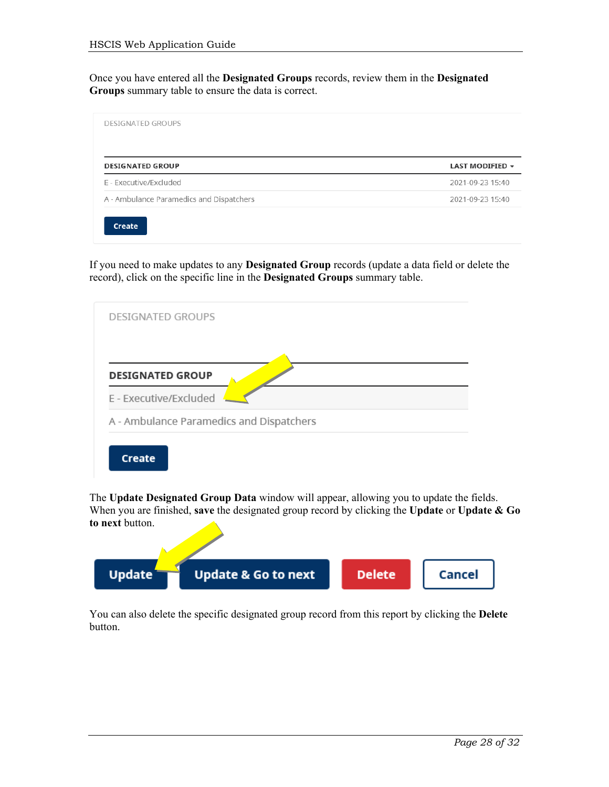Once you have entered all the **Designated Groups** records, review them in the **Designated Groups** summary table to ensure the data is correct.

| <b>DESIGNATED GROUP</b>                  | LAST MODIFIED +  |
|------------------------------------------|------------------|
| F - Executive/Excluded                   | 2021-09-23 15:40 |
| A - Ambulance Paramedics and Dispatchers | 2021-09-23 15:40 |

If you need to make updates to any **Designated Group** records (update a data field or delete the record), click on the specific line in the **Designated Groups** summary table.



The **Update Designated Group Data** window will appear, allowing you to update the fields. When you are finished, **save** the designated group record by clicking the **Update** or **Update & Go to next** button.



You can also delete the specific designated group record from this report by clicking the **Delete** button.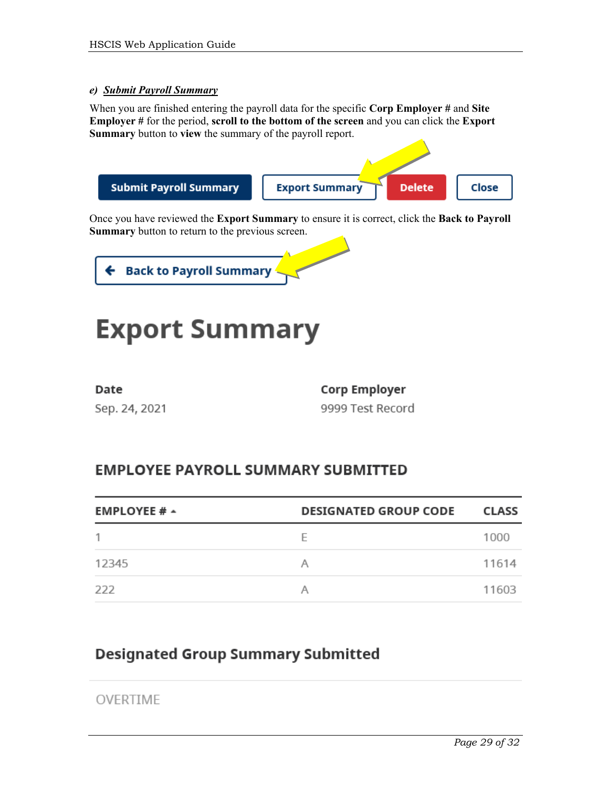#### *e) Submit Payroll Summary*

When you are finished entering the payroll data for the specific **Corp Employer #** and **Site Employer #** for the period, **scroll to the bottom of the screen** and you can click the **Export Summary** button to **view** the summary of the payroll report.



Once you have reviewed the **Export Summary** to ensure it is correct, click the **Back to Payroll Summary** button to return to the previous screen.



## **Export Summary**

| Date |               |
|------|---------------|
|      | Sep. 24, 2021 |

**Corp Employer** 9999 Test Record

### **EMPLOYEE PAYROLL SUMMARY SUBMITTED**

| <b>EMPLOYEE # <math>\sim</math></b> | <b>DESIGNATED GROUP CODE</b> | <b>CLASS</b> |
|-------------------------------------|------------------------------|--------------|
|                                     | F                            | 1000         |
| 12345                               |                              | 11614        |
| 222                                 |                              | 11603        |

### **Designated Group Summary Submitted**

OVERTIME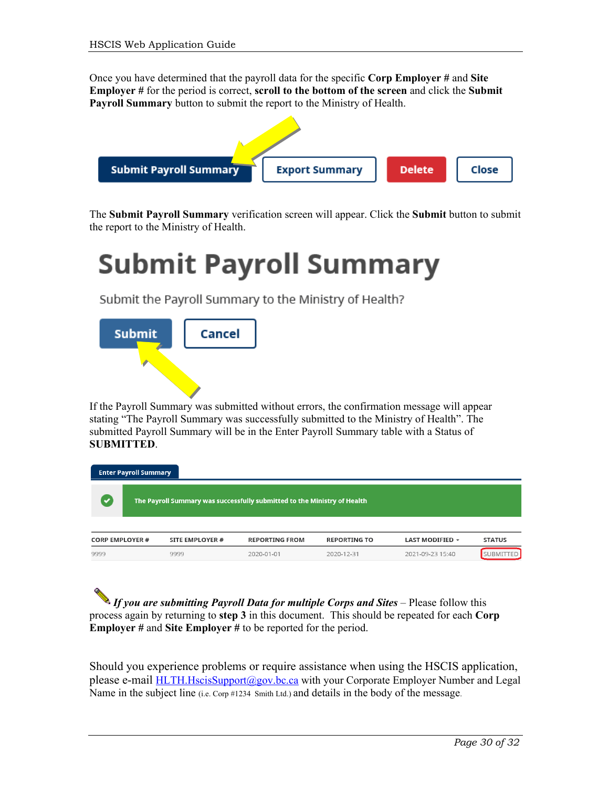Once you have determined that the payroll data for the specific **Corp Employer #** and **Site Employer #** for the period is correct, **scroll to the bottom of the screen** and click the **Submit Payroll Summary** button to submit the report to the Ministry of Health.



The **Submit Payroll Summary** verification screen will appear. Click the **Submit** button to submit the report to the Ministry of Health.

## **Submit Payroll Summary**

Submit the Payroll Summary to the Ministry of Health?



If the Payroll Summary was submitted without errors, the confirmation message will appear stating "The Payroll Summary was successfully submitted to the Ministry of Health". The submitted Payroll Summary will be in the Enter Payroll Summary table with a Status of **SUBMITTED**.



*If you are submitting Payroll Data for multiple Corps and Sites* – Please follow this process again by returning to **step 3** in this document. This should be repeated for each **Corp Employer #** and **Site Employer #** to be reported for the period.

Should you experience problems or require assistance when using the HSCIS application, please e-mail [HLTH.HscisSupport@gov.bc.ca](mailto:HLTH.HscisSupport@gov.bc.ca) with your Corporate Employer Number and Legal Name in the subject line (i.e. Corp #1234 Smith Ltd.) and details in the body of the message.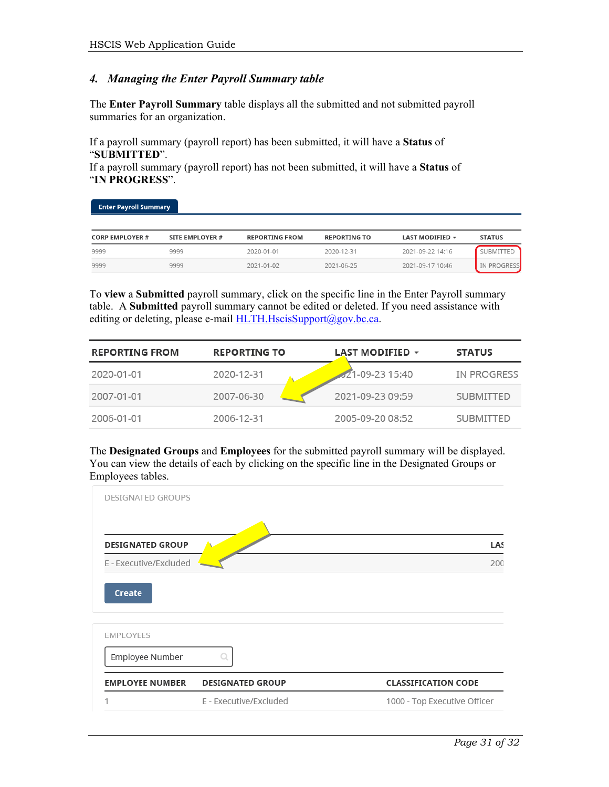#### *4. Managing the Enter Payroll Summary table*

The **Enter Payroll Summary** table displays all the submitted and not submitted payroll summaries for an organization.

If a payroll summary (payroll report) has been submitted, it will have a **Status** of "**SUBMITTED**".

If a payroll summary (payroll report) has not been submitted, it will have a **Status** of "**IN PROGRESS**".

| <b>Enter Payron Summary</b> |                 |                       |                     |                        |               |
|-----------------------------|-----------------|-----------------------|---------------------|------------------------|---------------|
| <b>CORP EMPLOYER #</b>      | SITE EMPLOYER # | <b>REPORTING FROM</b> | <b>REPORTING TO</b> | <b>LAST MODIFIED +</b> | <b>STATUS</b> |
| 9999                        | 9999            | 2020-01-01            | 2020-12-31          | 2021-09-22 14:16       | SUBMITTED     |
| 9999                        | 9999            | 2021-01-02            | 2021-06-25          | 2021-09-17 10:46       | IN PROGRESS   |

To **view** a **Submitted** payroll summary, click on the specific line in the Enter Payroll summary table. A **Submitted** payroll summary cannot be edited or deleted. If you need assistance with editing or deleting, please e-mail [HLTH.HscisSupport@gov.bc.ca.](mailto:HLTH.HscisSupport@gov.bc.ca)

| <b>REPORTING FROM</b> | <b>REPORTING TO</b> | <b>LAST MODIFIED +</b> | <b>STATUS</b>    |
|-----------------------|---------------------|------------------------|------------------|
| 2020-01-01            | 2020-12-31          | 21-09-23 15:40         | IN PROGRESS      |
| 2007-01-01            | 2007-06-30          | 2021-09-23 09:59       | <b>SUBMITTED</b> |
| 2006-01-01            | 2006-12-31          | 2005-09-20 08:52       | <b>SUBMITTED</b> |

The **Designated Groups** and **Employees** for the submitted payroll summary will be displayed. You can view the details of each by clicking on the specific line in the Designated Groups or Employees tables.

| <b>DESIGNATED GROUPS</b> |                         |                              |  |
|--------------------------|-------------------------|------------------------------|--|
| <b>DESIGNATED GROUP</b>  |                         | LAS                          |  |
| E - Executive/Excluded   |                         | 200                          |  |
| Create                   |                         |                              |  |
| <b>EMPLOYEES</b>         |                         |                              |  |
| Employee Number          |                         |                              |  |
| <b>EMPLOYEE NUMBER</b>   | <b>DESIGNATED GROUP</b> | <b>CLASSIFICATION CODE</b>   |  |
|                          | E - Executive/Excluded  | 1000 - Top Executive Officer |  |